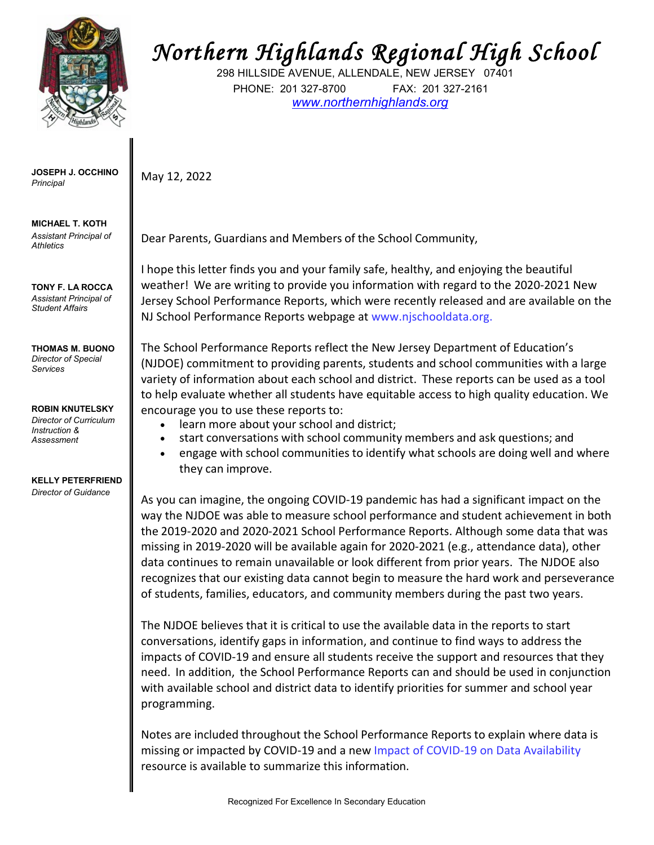

**JOSEPH J. OCCHINO** May 12, 2022 *Principal*

**MICHAEL T. KOTH** *Assistant Principal of Athletics*

**TONY F. LA ROCCA** *Assistant Principal of Student Affairs*

**THOMAS M. BUONO** *Director of Special Services*

**ROBIN KNUTELSKY** *Director of Curriculum Instruction & Assessment*

## **KELLY PETERFRIEND** *Director of Guidance*

## *Northern Highlands Regional High School*

298 HILLSIDE AVENUE, ALLENDALE, NEW JERSEY 07401 PHONE: 201 327-8700 FAX: 201 327-2161 *[www.northernhighlands.org](http://www.northernhighlands.org/)*

Dear Parents, Guardians and Members of the School Community,

I hope this letter finds you and your family safe, healthy, and enjoying the beautiful weather! We are writing to provide you information with regard to the 2020-2021 New Jersey School Performance Reports, which were recently released and are available on the NJ School Performance Reports webpage a[t www.njschooldata.org.](http://www.njschooldata.org/)

The School Performance Reports reflect the New Jersey Department of Education's (NJDOE) commitment to providing parents, students and school communities with a large variety of information about each school and district. These reports can be used as a tool to help evaluate whether all students have equitable access to high quality education. We encourage you to use these reports to:

- learn more about your school and district;
- start conversations with school community members and ask questions; and
- engage with school communities to identify what schools are doing well and where they can improve.

As you can imagine, the ongoing COVID-19 pandemic has had a significant impact on the way the NJDOE was able to measure school performance and student achievement in both the 2019-2020 and 2020-2021 School Performance Reports. Although some data that was missing in 2019-2020 will be available again for 2020-2021 (e.g., attendance data), other data continues to remain unavailable or look different from prior years. The NJDOE also recognizes that our existing data cannot begin to measure the hard work and perseverance of students, families, educators, and community members during the past two years.

The NJDOE believes that it is critical to use the available data in the reports to start conversations, identify gaps in information, and continue to find ways to address the impacts of COVID-19 and ensure all students receive the support and resources that they need. In addition, the School Performance Reports can and should be used in conjunction with available school and district data to identify priorities for summer and school year programming.

Notes are included throughout the School Performance Reports to explain where data is missing or impacted by COVID-19 and a new [Impact of COVID-19 on Data Availability](https://www.nj.gov/education/schoolperformance/resources/docs/2020-21_SchoolPerformanceReports_ImpactOf_COVID-19_on_DataAvailability.pdf) resource is available to summarize this information.